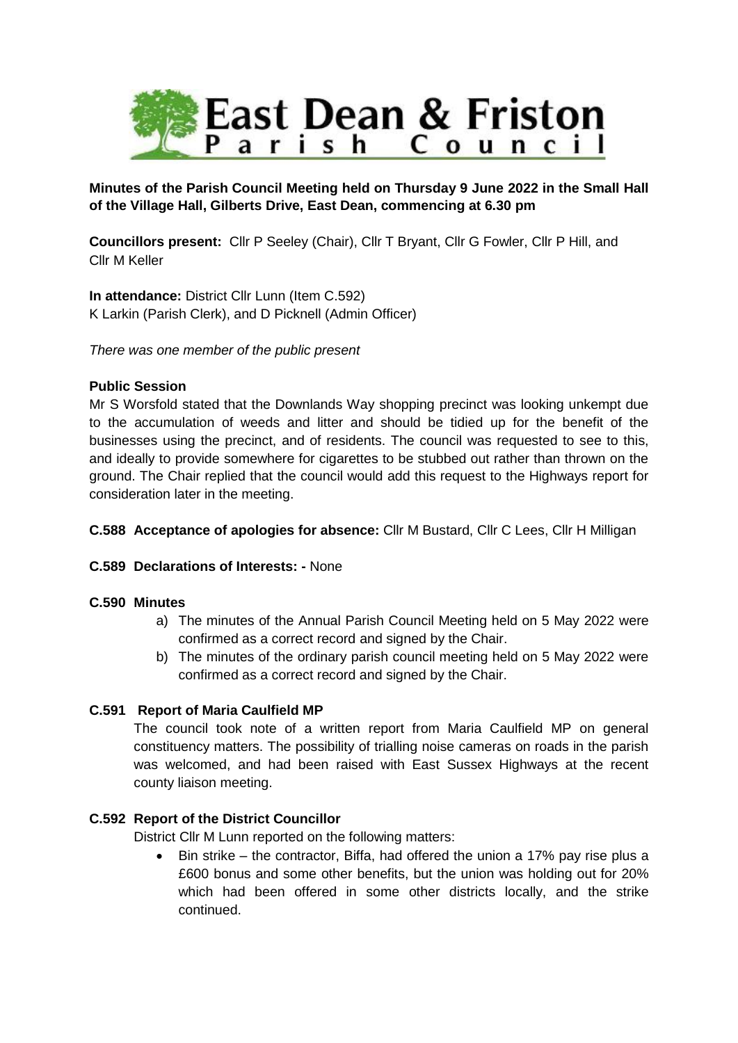

# **Minutes of the Parish Council Meeting held on Thursday 9 June 2022 in the Small Hall of the Village Hall, Gilberts Drive, East Dean, commencing at 6.30 pm**

**Councillors present:** Cllr P Seeley (Chair), Cllr T Bryant, Cllr G Fowler, Cllr P Hill, and Cllr M Keller

**In attendance:** District Cllr Lunn (Item C.592) K Larkin (Parish Clerk), and D Picknell (Admin Officer)

*There was one member of the public present*

# **Public Session**

Mr S Worsfold stated that the Downlands Way shopping precinct was looking unkempt due to the accumulation of weeds and litter and should be tidied up for the benefit of the businesses using the precinct, and of residents. The council was requested to see to this, and ideally to provide somewhere for cigarettes to be stubbed out rather than thrown on the ground. The Chair replied that the council would add this request to the Highways report for consideration later in the meeting.

# **C.588 Acceptance of apologies for absence:** Cllr M Bustard, Cllr C Lees, Cllr H Milligan

# **C.589 Declarations of Interests: -** None

## **C.590 Minutes**

- a) The minutes of the Annual Parish Council Meeting held on 5 May 2022 were confirmed as a correct record and signed by the Chair.
- b) The minutes of the ordinary parish council meeting held on 5 May 2022 were confirmed as a correct record and signed by the Chair.

# **C.591 Report of Maria Caulfield MP**

The council took note of a written report from Maria Caulfield MP on general constituency matters. The possibility of trialling noise cameras on roads in the parish was welcomed, and had been raised with East Sussex Highways at the recent county liaison meeting.

# **C.592 Report of the District Councillor**

District Cllr M Lunn reported on the following matters:

 Bin strike – the contractor, Biffa, had offered the union a 17% pay rise plus a £600 bonus and some other benefits, but the union was holding out for 20% which had been offered in some other districts locally, and the strike continued.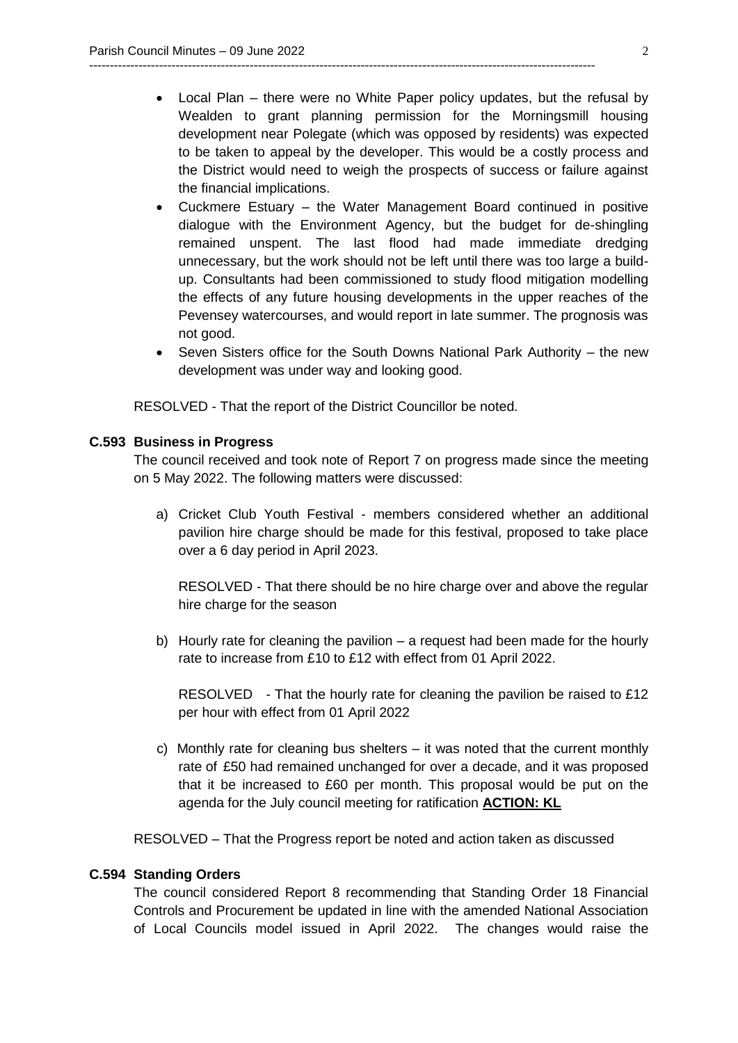Local Plan – there were no White Paper policy updates, but the refusal by Wealden to grant planning permission for the Morningsmill housing development near Polegate (which was opposed by residents) was expected to be taken to appeal by the developer. This would be a costly process and the District would need to weigh the prospects of success or failure against the financial implications.

---------------------------------------------------------------------------------------------------------------------------

- Cuckmere Estuary the Water Management Board continued in positive dialogue with the Environment Agency, but the budget for de-shingling remained unspent. The last flood had made immediate dredging unnecessary, but the work should not be left until there was too large a buildup. Consultants had been commissioned to study flood mitigation modelling the effects of any future housing developments in the upper reaches of the Pevensey watercourses, and would report in late summer. The prognosis was not good.
- Seven Sisters office for the South Downs National Park Authority the new development was under way and looking good.

RESOLVED - That the report of the District Councillor be noted.

#### **C.593 Business in Progress**

The council received and took note of Report 7 on progress made since the meeting on 5 May 2022. The following matters were discussed:

a) Cricket Club Youth Festival - members considered whether an additional pavilion hire charge should be made for this festival, proposed to take place over a 6 day period in April 2023.

RESOLVED - That there should be no hire charge over and above the regular hire charge for the season

b) Hourly rate for cleaning the pavilion – a request had been made for the hourly rate to increase from £10 to £12 with effect from 01 April 2022.

RESOLVED - That the hourly rate for cleaning the pavilion be raised to £12 per hour with effect from 01 April 2022

 c) Monthly rate for cleaning bus shelters – it was noted that the current monthly rate of £50 had remained unchanged for over a decade, and it was proposed that it be increased to £60 per month. This proposal would be put on the agenda for the July council meeting for ratification **ACTION: KL**

RESOLVED – That the Progress report be noted and action taken as discussed

#### **C.594 Standing Orders**

The council considered Report 8 recommending that Standing Order 18 Financial Controls and Procurement be updated in line with the amended National Association of Local Councils model issued in April 2022. The changes would raise the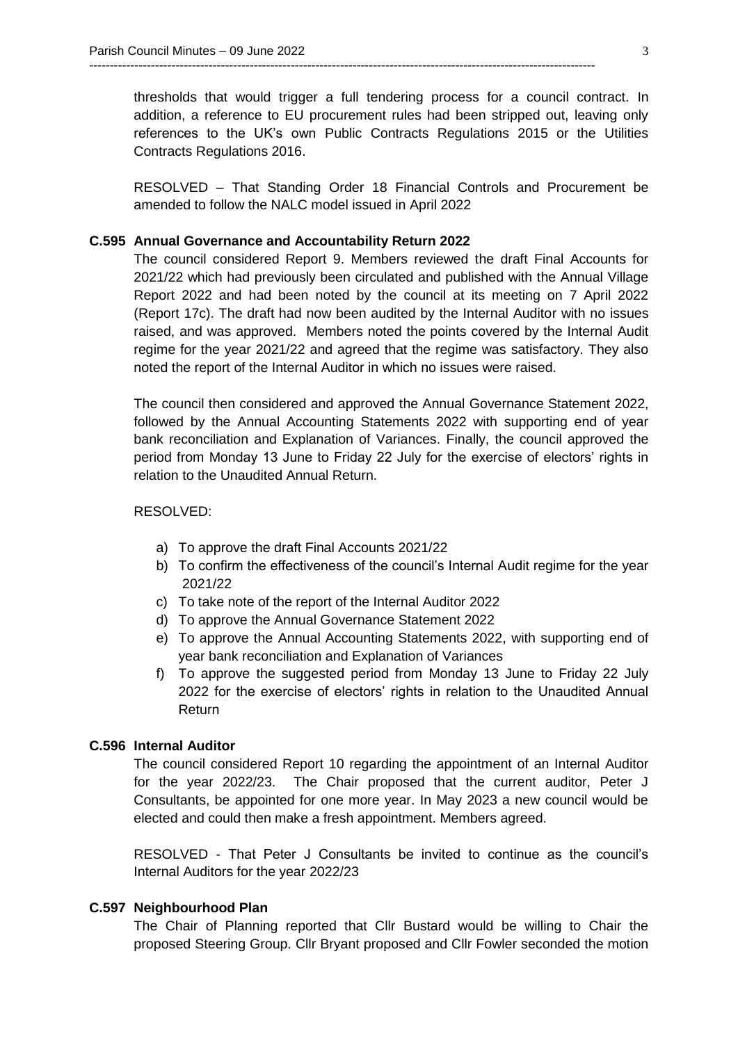thresholds that would trigger a full tendering process for a council contract. In addition, a reference to EU procurement rules had been stripped out, leaving only references to the UK's own Public Contracts Regulations 2015 or the Utilities Contracts Regulations 2016.

---------------------------------------------------------------------------------------------------------------------------

RESOLVED – That Standing Order 18 Financial Controls and Procurement be amended to follow the NALC model issued in April 2022

#### **C.595 Annual Governance and Accountability Return 2022**

The council considered Report 9. Members reviewed the draft Final Accounts for 2021/22 which had previously been circulated and published with the Annual Village Report 2022 and had been noted by the council at its meeting on 7 April 2022 (Report 17c). The draft had now been audited by the Internal Auditor with no issues raised, and was approved. Members noted the points covered by the Internal Audit regime for the year 2021/22 and agreed that the regime was satisfactory. They also noted the report of the Internal Auditor in which no issues were raised.

The council then considered and approved the Annual Governance Statement 2022, followed by the Annual Accounting Statements 2022 with supporting end of year bank reconciliation and Explanation of Variances. Finally, the council approved the period from Monday 13 June to Friday 22 July for the exercise of electors' rights in relation to the Unaudited Annual Return.

## RESOLVED:

- a) To approve the draft Final Accounts 2021/22
- b) To confirm the effectiveness of the council's Internal Audit regime for the year 2021/22
- c) To take note of the report of the Internal Auditor 2022
- d) To approve the Annual Governance Statement 2022
- e) To approve the Annual Accounting Statements 2022, with supporting end of year bank reconciliation and Explanation of Variances
- f) To approve the suggested period from Monday 13 June to Friday 22 July 2022 for the exercise of electors' rights in relation to the Unaudited Annual Return

## **C.596 Internal Auditor**

The council considered Report 10 regarding the appointment of an Internal Auditor for the year 2022/23. The Chair proposed that the current auditor, Peter J Consultants, be appointed for one more year. In May 2023 a new council would be elected and could then make a fresh appointment. Members agreed.

RESOLVED - That Peter J Consultants be invited to continue as the council's Internal Auditors for the year 2022/23

## **C.597 Neighbourhood Plan**

The Chair of Planning reported that Cllr Bustard would be willing to Chair the proposed Steering Group. Cllr Bryant proposed and Cllr Fowler seconded the motion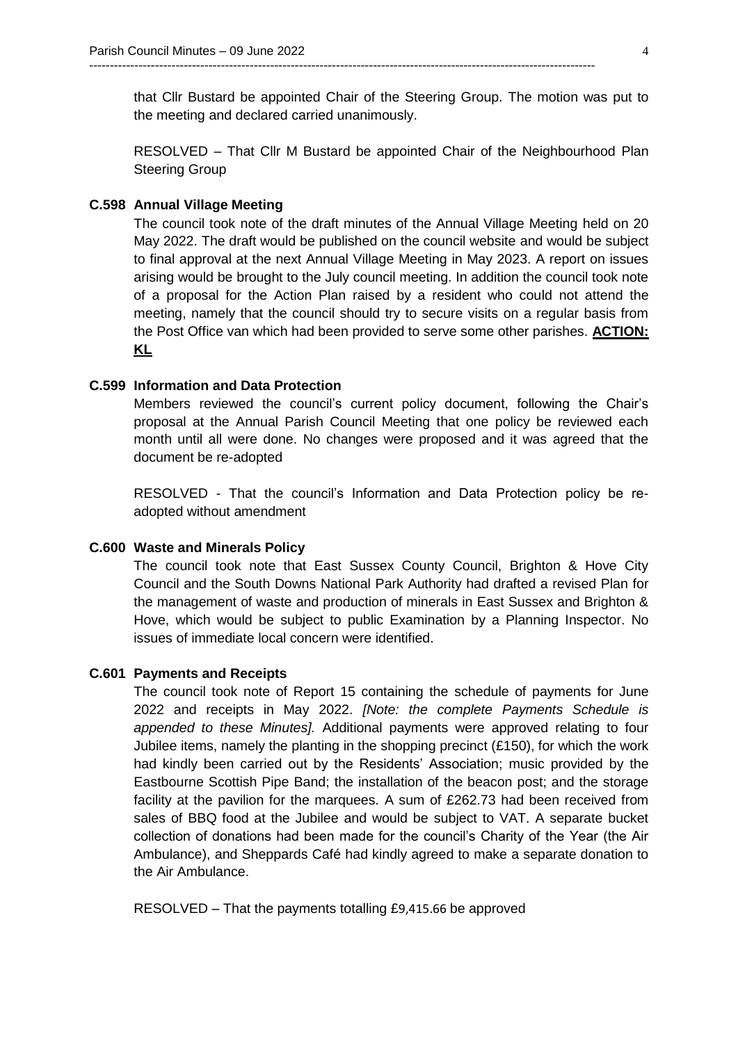that Cllr Bustard be appointed Chair of the Steering Group. The motion was put to the meeting and declared carried unanimously.

---------------------------------------------------------------------------------------------------------------------------

RESOLVED – That Cllr M Bustard be appointed Chair of the Neighbourhood Plan Steering Group

#### **C.598 Annual Village Meeting**

The council took note of the draft minutes of the Annual Village Meeting held on 20 May 2022. The draft would be published on the council website and would be subject to final approval at the next Annual Village Meeting in May 2023. A report on issues arising would be brought to the July council meeting. In addition the council took note of a proposal for the Action Plan raised by a resident who could not attend the meeting, namely that the council should try to secure visits on a regular basis from the Post Office van which had been provided to serve some other parishes. **ACTION: KL**

### **C.599 Information and Data Protection**

Members reviewed the council's current policy document, following the Chair's proposal at the Annual Parish Council Meeting that one policy be reviewed each month until all were done. No changes were proposed and it was agreed that the document be re-adopted

RESOLVED - That the council's Information and Data Protection policy be readopted without amendment

#### **C.600 Waste and Minerals Policy**

The council took note that East Sussex County Council, Brighton & Hove City Council and the South Downs National Park Authority had drafted a revised Plan for the management of waste and production of minerals in East Sussex and Brighton & Hove, which would be subject to public Examination by a Planning Inspector. No issues of immediate local concern were identified.

#### **C.601 Payments and Receipts**

The council took note of Report 15 containing the schedule of payments for June 2022 and receipts in May 2022. *[Note: the complete Payments Schedule is appended to these Minutes].* Additional payments were approved relating to four Jubilee items, namely the planting in the shopping precinct  $(E150)$ , for which the work had kindly been carried out by the Residents' Association; music provided by the Eastbourne Scottish Pipe Band; the installation of the beacon post; and the storage facility at the pavilion for the marquees. A sum of £262.73 had been received from sales of BBQ food at the Jubilee and would be subject to VAT. A separate bucket collection of donations had been made for the council's Charity of the Year (the Air Ambulance), and Sheppards Café had kindly agreed to make a separate donation to the Air Ambulance.

RESOLVED – That the payments totalling £9,415.66 be approved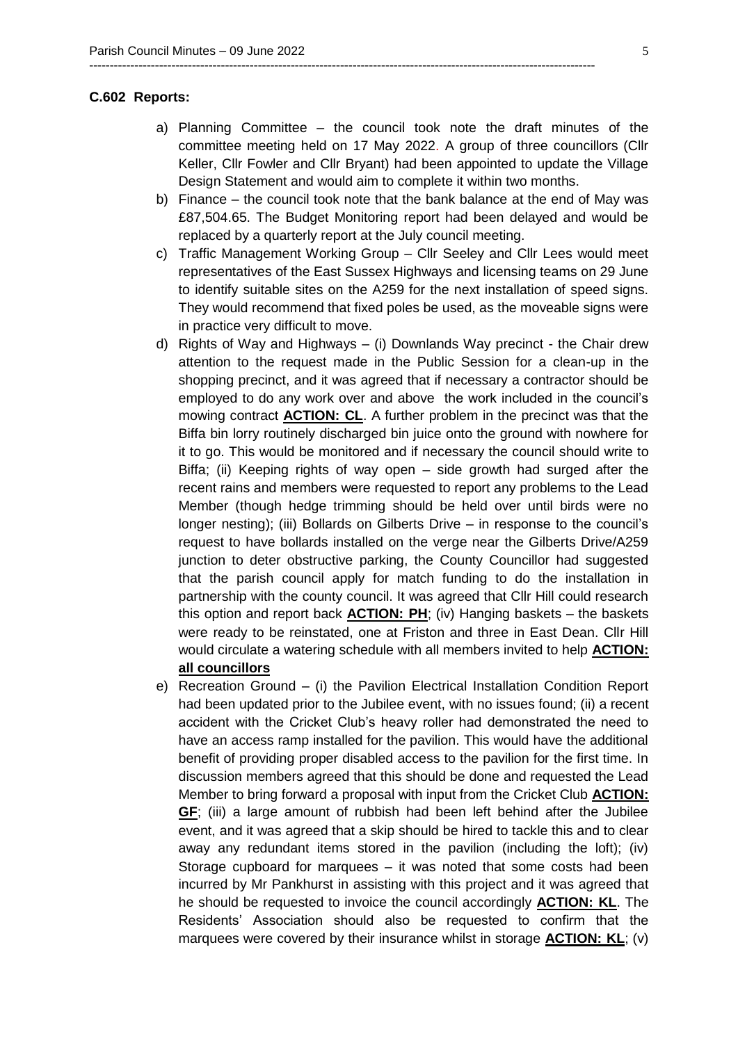#### **C.602 Reports:**

a) Planning Committee – the council took note the draft minutes of the committee meeting held on 17 May 2022. A group of three councillors (Cllr Keller, Cllr Fowler and Cllr Bryant) had been appointed to update the Village Design Statement and would aim to complete it within two months.

---------------------------------------------------------------------------------------------------------------------------

- b) Finance the council took note that the bank balance at the end of May was £87,504.65. The Budget Monitoring report had been delayed and would be replaced by a quarterly report at the July council meeting.
- c) Traffic Management Working Group Cllr Seeley and Cllr Lees would meet representatives of the East Sussex Highways and licensing teams on 29 June to identify suitable sites on the A259 for the next installation of speed signs. They would recommend that fixed poles be used, as the moveable signs were in practice very difficult to move.
- d) Rights of Way and Highways (i) Downlands Way precinct the Chair drew attention to the request made in the Public Session for a clean-up in the shopping precinct, and it was agreed that if necessary a contractor should be employed to do any work over and above the work included in the council's mowing contract **ACTION: CL**. A further problem in the precinct was that the Biffa bin lorry routinely discharged bin juice onto the ground with nowhere for it to go. This would be monitored and if necessary the council should write to Biffa; (ii) Keeping rights of way open – side growth had surged after the recent rains and members were requested to report any problems to the Lead Member (though hedge trimming should be held over until birds were no longer nesting); (iii) Bollards on Gilberts Drive – in response to the council's request to have bollards installed on the verge near the Gilberts Drive/A259 junction to deter obstructive parking, the County Councillor had suggested that the parish council apply for match funding to do the installation in partnership with the county council. It was agreed that Cllr Hill could research this option and report back **ACTION: PH**; (iv) Hanging baskets – the baskets were ready to be reinstated, one at Friston and three in East Dean. Cllr Hill would circulate a watering schedule with all members invited to help **ACTION: all councillors**
- e) Recreation Ground (i) the Pavilion Electrical Installation Condition Report had been updated prior to the Jubilee event, with no issues found; (ii) a recent accident with the Cricket Club's heavy roller had demonstrated the need to have an access ramp installed for the pavilion. This would have the additional benefit of providing proper disabled access to the pavilion for the first time. In discussion members agreed that this should be done and requested the Lead Member to bring forward a proposal with input from the Cricket Club **ACTION: GF**; (iii) a large amount of rubbish had been left behind after the Jubilee event, and it was agreed that a skip should be hired to tackle this and to clear away any redundant items stored in the pavilion (including the loft); (iv) Storage cupboard for marquees – it was noted that some costs had been incurred by Mr Pankhurst in assisting with this project and it was agreed that he should be requested to invoice the council accordingly **ACTION: KL**. The Residents' Association should also be requested to confirm that the marquees were covered by their insurance whilst in storage **ACTION: KL**; (v)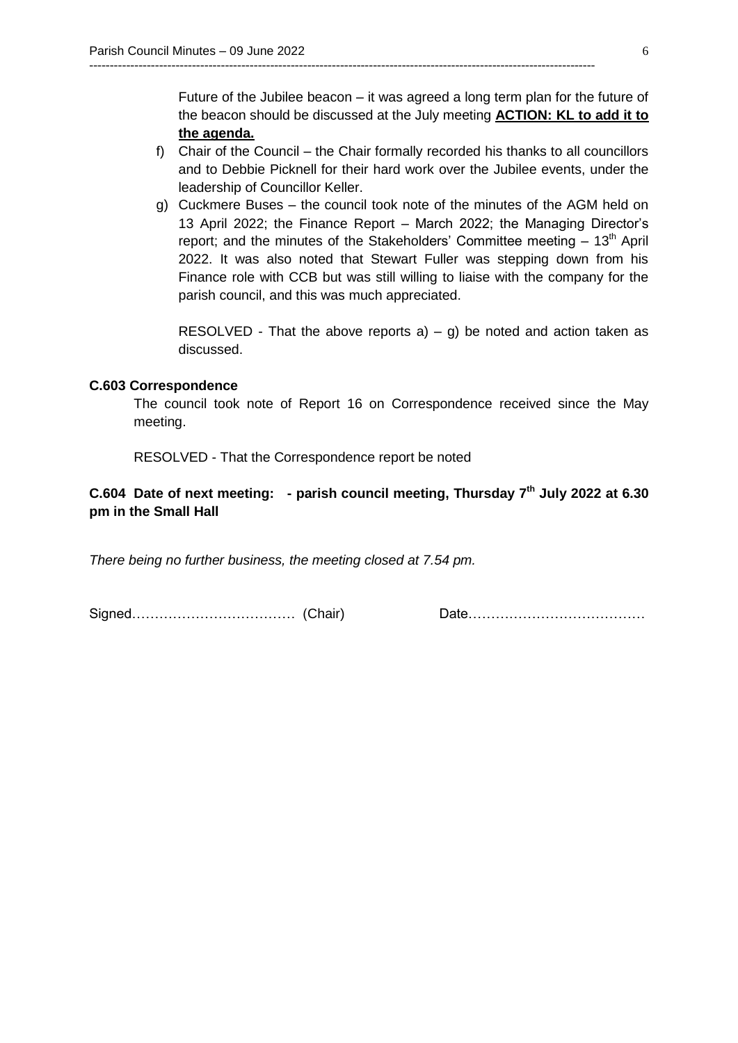Future of the Jubilee beacon – it was agreed a long term plan for the future of the beacon should be discussed at the July meeting **ACTION: KL to add it to the agenda.** 

f) Chair of the Council – the Chair formally recorded his thanks to all councillors and to Debbie Picknell for their hard work over the Jubilee events, under the leadership of Councillor Keller.

---------------------------------------------------------------------------------------------------------------------------

g) Cuckmere Buses – the council took note of the minutes of the AGM held on 13 April 2022; the Finance Report – March 2022; the Managing Director's report; and the minutes of the Stakeholders' Committee meeting  $-13<sup>th</sup>$  April 2022. It was also noted that Stewart Fuller was stepping down from his Finance role with CCB but was still willing to liaise with the company for the parish council, and this was much appreciated.

RESOLVED - That the above reports  $a$ ) – g) be noted and action taken as discussed.

## **C.603 Correspondence**

The council took note of Report 16 on Correspondence received since the May meeting.

RESOLVED - That the Correspondence report be noted

# **C.604 Date of next meeting: - parish council meeting, Thursday 7th July 2022 at 6.30 pm in the Small Hall**

*There being no further business, the meeting closed at 7.54 pm.* 

Signed……………………………… (Chair) Date…………………………………